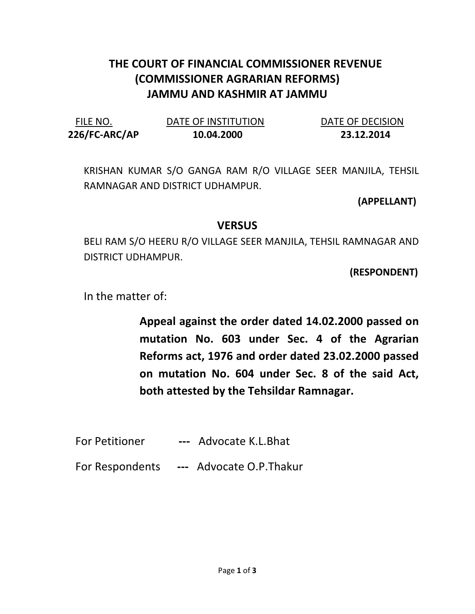## THE COURT OF FINANCIAL COMMISSIONER REVENUE (COMMISSIONER AGRARIAN REFORMS) JAMMU AND KASHMIR AT JAMMU

| FILE NO.      | DATE OF INSTITUTION | DATE OF DECISION |
|---------------|---------------------|------------------|
| 226/FC-ARC/AP | 10.04.2000          | 23.12.2014       |

KRISHAN KUMAR S/O GANGA RAM R/O VILLAGE SEER MANJILA, TEHSIL RAMNAGAR AND DISTRICT UDHAMPUR.

(APPELLANT)

## **VERSUS**

BELI RAM S/O HEERU R/O VILLAGE SEER MANJILA, TEHSIL RAMNAGAR AND DISTRICT UDHAMPUR.

(RESPONDENT)

In the matter of:

Appeal against the order dated 14.02.2000 passed on mutation No. 603 under Sec. 4 of the Agrarian Reforms act, 1976 and order dated 23.02.2000 passed on mutation No. 604 under Sec. 8 of the said Act, both attested by the Tehsildar Ramnagar.

- For Petitioner --- Advocate K.L.Bhat
- For Respondents --- Advocate O.P. Thakur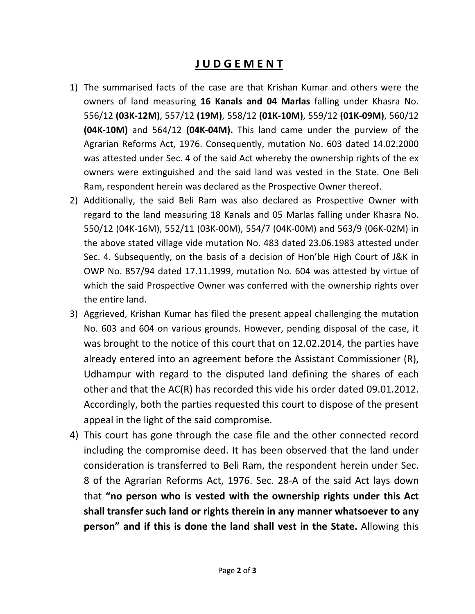## J U D G E M E N T

- 1) The summarised facts of the case are that Krishan Kumar and others were the owners of land measuring 16 Kanals and 04 Marlas falling under Khasra No. 556/12 (03K-12M), 557/12 (19M), 558/12 (01K-10M), 559/12 (01K-09M), 560/12 (04K-10M) and 564/12 (04K-04M). This land came under the purview of the Agrarian Reforms Act, 1976. Consequently, mutation No. 603 dated 14.02.2000 was attested under Sec. 4 of the said Act whereby the ownership rights of the ex owners were extinguished and the said land was vested in the State. One Beli Ram, respondent herein was declared as the Prospective Owner thereof.
- 2) Additionally, the said Beli Ram was also declared as Prospective Owner with regard to the land measuring 18 Kanals and 05 Marlas falling under Khasra No. 550/12 (04K-16M), 552/11 (03K-00M), 554/7 (04K-00M) and 563/9 (06K-02M) in the above stated village vide mutation No. 483 dated 23.06.1983 attested under Sec. 4. Subsequently, on the basis of a decision of Hon'ble High Court of J&K in OWP No. 857/94 dated 17.11.1999, mutation No. 604 was attested by virtue of which the said Prospective Owner was conferred with the ownership rights over the entire land.
- 3) Aggrieved, Krishan Kumar has filed the present appeal challenging the mutation No. 603 and 604 on various grounds. However, pending disposal of the case, it was brought to the notice of this court that on 12.02.2014, the parties have already entered into an agreement before the Assistant Commissioner (R), Udhampur with regard to the disputed land defining the shares of each other and that the AC(R) has recorded this vide his order dated 09.01.2012. Accordingly, both the parties requested this court to dispose of the present appeal in the light of the said compromise.
- 4) This court has gone through the case file and the other connected record including the compromise deed. It has been observed that the land under consideration is transferred to Beli Ram, the respondent herein under Sec. 8 of the Agrarian Reforms Act, 1976. Sec. 28-A of the said Act lays down that "no person who is vested with the ownership rights under this Act shall transfer such land or rights therein in any manner whatsoever to any person" and if this is done the land shall vest in the State. Allowing this